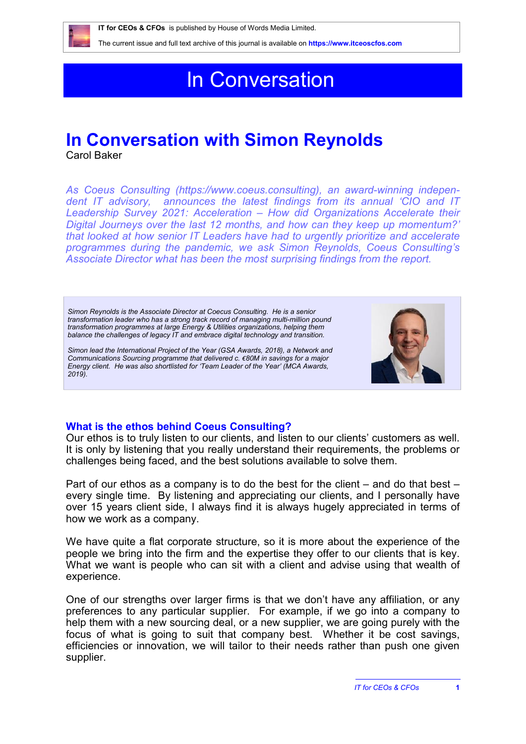

# In Conversation

# **In Conversation with Simon Reynolds**

Carol Baker

*As Coeus Consulting [\(https://www.coeus.consulting](https://www.coeus.consulting)), an award-winning independent IT advisory, announces the latest findings from its annual 'CIO and IT Leadership Survey 2021: Acceleration – How did Organizations Accelerate their Digital Journeys over the last 12 months, and how can they keep up momentum?' that looked at how senior IT Leaders have had to urgently prioritize and accelerate programmes during the pandemic, we ask Simon Reynolds, Coeus Consulting's Associate Director what has been the most surprising findings from the report.*

*Simon Reynolds is the Associate Director at Coecus Consulting. He is a senior transformation leader who has a strong track record of managing multi-million pound transformation programmes at large Energy & Utilities organizations, helping them balance the challenges of legacy IT and embrace digital technology and transition.* 

*Simon lead the International Project of the Year (GSA Awards, 2018), a Network and Communications Sourcing programme that delivered c. €80M in savings for a major Energy client. He was also shortlisted for 'Team Leader of the Year' (MCA Awards, 2019).*



# **What is the ethos behind Coeus Consulting?**

Our ethos is to truly listen to our clients, and listen to our clients' customers as well. It is only by listening that you really understand their requirements, the problems or challenges being faced, and the best solutions available to solve them.

Part of our ethos as a company is to do the best for the client – and do that best – every single time. By listening and appreciating our clients, and I personally have over 15 years client side, I always find it is always hugely appreciated in terms of how we work as a company.

We have quite a flat corporate structure, so it is more about the experience of the people we bring into the firm and the expertise they offer to our clients that is key. What we want is people who can sit with a client and advise using that wealth of experience.

One of our strengths over larger firms is that we don't have any affiliation, or any preferences to any particular supplier. For example, if we go into a company to help them with a new sourcing deal, or a new supplier, we are going purely with the focus of what is going to suit that company best. Whether it be cost savings, efficiencies or innovation, we will tailor to their needs rather than push one given supplier.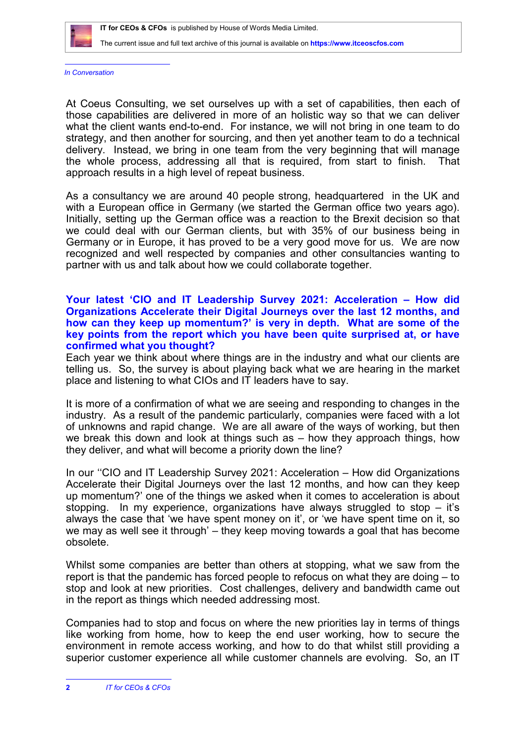

*In Conversation*

At Coeus Consulting, we set ourselves up with a set of capabilities, then each of those capabilities are delivered in more of an holistic way so that we can deliver what the client wants end-to-end. For instance, we will not bring in one team to do strategy, and then another for sourcing, and then yet another team to do a technical delivery. Instead, we bring in one team from the very beginning that will manage the whole process, addressing all that is required, from start to finish. That approach results in a high level of repeat business.

As a consultancy we are around 40 people strong, headquartered in the UK and with a European office in Germany (we started the German office two years ago). Initially, setting up the German office was a reaction to the Brexit decision so that we could deal with our German clients, but with 35% of our business being in Germany or in Europe, it has proved to be a very good move for us. We are now recognized and well respected by companies and other consultancies wanting to partner with us and talk about how we could collaborate together.

#### **Your latest 'CIO and IT Leadership Survey 2021: Acceleration – How did Organizations Accelerate their Digital Journeys over the last 12 months, and how can they keep up momentum?' is very in depth. What are some of the key points from the report which you have been quite surprised at, or have confirmed what you thought?**

Each year we think about where things are in the industry and what our clients are telling us. So, the survey is about playing back what we are hearing in the market place and listening to what CIOs and IT leaders have to say.

It is more of a confirmation of what we are seeing and responding to changes in the industry. As a result of the pandemic particularly, companies were faced with a lot of unknowns and rapid change. We are all aware of the ways of working, but then we break this down and look at things such as – how they approach things, how they deliver, and what will become a priority down the line?

In our ''CIO and IT Leadership Survey 2021: Acceleration – How did Organizations Accelerate their Digital Journeys over the last 12 months, and how can they keep up momentum?' one of the things we asked when it comes to acceleration is about stopping. In my experience, organizations have always struggled to stop – it's always the case that 'we have spent money on it', or 'we have spent time on it, so we may as well see it through' – they keep moving towards a goal that has become obsolete.

Whilst some companies are better than others at stopping, what we saw from the report is that the pandemic has forced people to refocus on what they are doing – to stop and look at new priorities. Cost challenges, delivery and bandwidth came out in the report as things which needed addressing most.

Companies had to stop and focus on where the new priorities lay in terms of things like working from home, how to keep the end user working, how to secure the environment in remote access working, and how to do that whilst still providing a superior customer experience all while customer channels are evolving. So, an IT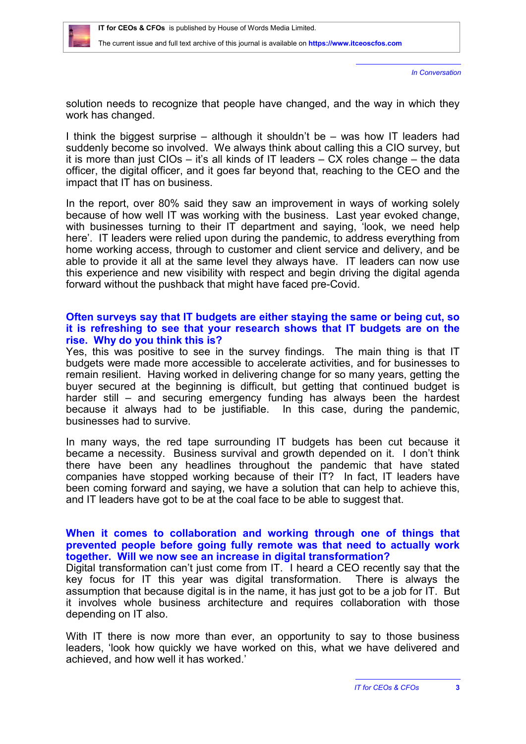

*In Conversation*

solution needs to recognize that people have changed, and the way in which they work has changed.

I think the biggest surprise – although it shouldn't be – was how IT leaders had suddenly become so involved. We always think about calling this a CIO survey, but it is more than just CIOs – it's all kinds of IT leaders – CX roles change – the data officer, the digital officer, and it goes far beyond that, reaching to the CEO and the impact that IT has on business.

In the report, over 80% said they saw an improvement in ways of working solely because of how well IT was working with the business. Last year evoked change, with businesses turning to their IT department and saying, 'look, we need help here'. IT leaders were relied upon during the pandemic, to address everything from home working access, through to customer and client service and delivery, and be able to provide it all at the same level they always have. IT leaders can now use this experience and new visibility with respect and begin driving the digital agenda forward without the pushback that might have faced pre-Covid.

#### **Often surveys say that IT budgets are either staying the same or being cut, so it is refreshing to see that your research shows that IT budgets are on the rise. Why do you think this is?**

Yes, this was positive to see in the survey findings. The main thing is that IT budgets were made more accessible to accelerate activities, and for businesses to remain resilient. Having worked in delivering change for so many years, getting the buyer secured at the beginning is difficult, but getting that continued budget is harder still – and securing emergency funding has always been the hardest because it always had to be justifiable. In this case, during the pandemic, businesses had to survive.

In many ways, the red tape surrounding IT budgets has been cut because it became a necessity. Business survival and growth depended on it. I don't think there have been any headlines throughout the pandemic that have stated companies have stopped working because of their IT? In fact, IT leaders have been coming forward and saying, we have a solution that can help to achieve this, and IT leaders have got to be at the coal face to be able to suggest that.

# **When it comes to collaboration and working through one of things that prevented people before going fully remote was that need to actually work together. Will we now see an increase in digital transformation?**

Digital transformation can't just come from IT. I heard a CEO recently say that the key focus for IT this year was digital transformation. There is always the assumption that because digital is in the name, it has just got to be a job for IT. But it involves whole business architecture and requires collaboration with those depending on IT also.

With IT there is now more than ever, an opportunity to say to those business leaders, 'look how quickly we have worked on this, what we have delivered and achieved, and how well it has worked.'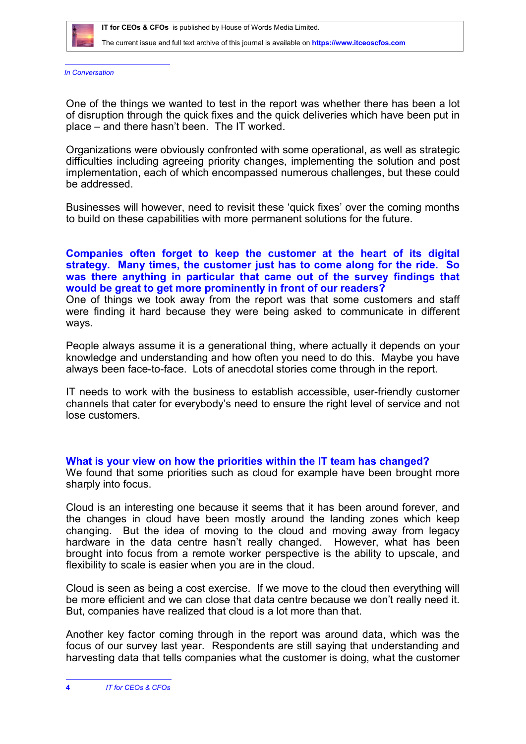

*In Conversation*

One of the things we wanted to test in the report was whether there has been a lot of disruption through the quick fixes and the quick deliveries which have been put in place – and there hasn't been. The IT worked.

Organizations were obviously confronted with some operational, as well as strategic difficulties including agreeing priority changes, implementing the solution and post implementation, each of which encompassed numerous challenges, but these could be addressed.

Businesses will however, need to revisit these 'quick fixes' over the coming months to build on these capabilities with more permanent solutions for the future.

# **Companies often forget to keep the customer at the heart of its digital strategy. Many times, the customer just has to come along for the ride. So was there anything in particular that came out of the survey findings that would be great to get more prominently in front of our readers?**

One of things we took away from the report was that some customers and staff were finding it hard because they were being asked to communicate in different ways.

People always assume it is a generational thing, where actually it depends on your knowledge and understanding and how often you need to do this. Maybe you have always been face-to-face. Lots of anecdotal stories come through in the report.

IT needs to work with the business to establish accessible, user-friendly customer channels that cater for everybody's need to ensure the right level of service and not lose customers.

# **What is your view on how the priorities within the IT team has changed?**

We found that some priorities such as cloud for example have been brought more sharply into focus.

Cloud is an interesting one because it seems that it has been around forever, and the changes in cloud have been mostly around the landing zones which keep changing. But the idea of moving to the cloud and moving away from legacy hardware in the data centre hasn't really changed. However, what has been brought into focus from a remote worker perspective is the ability to upscale, and flexibility to scale is easier when you are in the cloud.

Cloud is seen as being a cost exercise. If we move to the cloud then everything will be more efficient and we can close that data centre because we don't really need it. But, companies have realized that cloud is a lot more than that.

Another key factor coming through in the report was around data, which was the focus of our survey last year. Respondents are still saying that understanding and harvesting data that tells companies what the customer is doing, what the customer

**<sup>4</sup>** *IT for CEOs & CFOs*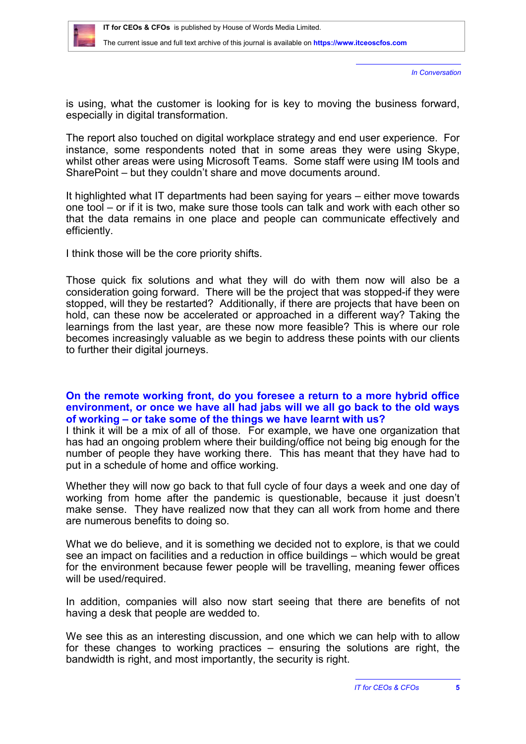

*In Conversation*

is using, what the customer is looking for is key to moving the business forward, especially in digital transformation.

The report also touched on digital workplace strategy and end user experience. For instance, some respondents noted that in some areas they were using Skype, whilst other areas were using Microsoft Teams. Some staff were using IM tools and SharePoint – but they couldn't share and move documents around.

It highlighted what IT departments had been saying for years – either move towards one tool – or if it is two, make sure those tools can talk and work with each other so that the data remains in one place and people can communicate effectively and efficiently.

I think those will be the core priority shifts.

Those quick fix solutions and what they will do with them now will also be a consideration going forward. There will be the project that was stopped-if they were stopped, will they be restarted? Additionally, if there are projects that have been on hold, can these now be accelerated or approached in a different way? Taking the learnings from the last year, are these now more feasible? This is where our role becomes increasingly valuable as we begin to address these points with our clients to further their digital journeys.

# **On the remote working front, do you foresee a return to a more hybrid office environment, or once we have all had jabs will we all go back to the old ways of working – or take some of the things we have learnt with us?**

I think it will be a mix of all of those. For example, we have one organization that has had an ongoing problem where their building/office not being big enough for the number of people they have working there. This has meant that they have had to put in a schedule of home and office working.

Whether they will now go back to that full cycle of four days a week and one day of working from home after the pandemic is questionable, because it just doesn't make sense. They have realized now that they can all work from home and there are numerous benefits to doing so.

What we do believe, and it is something we decided not to explore, is that we could see an impact on facilities and a reduction in office buildings – which would be great for the environment because fewer people will be travelling, meaning fewer offices will be used/required.

In addition, companies will also now start seeing that there are benefits of not having a desk that people are wedded to.

We see this as an interesting discussion, and one which we can help with to allow for these changes to working practices – ensuring the solutions are right, the bandwidth is right, and most importantly, the security is right.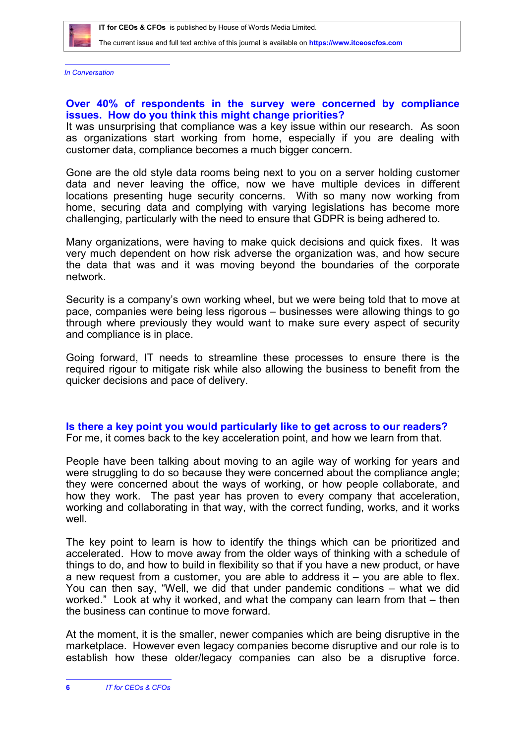*In Conversation*

# **Over 40% of respondents in the survey were concerned by compliance issues. How do you think this might change priorities?**

It was unsurprising that compliance was a key issue within our research. As soon as organizations start working from home, especially if you are dealing with customer data, compliance becomes a much bigger concern.

Gone are the old style data rooms being next to you on a server holding customer data and never leaving the office, now we have multiple devices in different locations presenting huge security concerns. With so many now working from home, securing data and complying with varying legislations has become more challenging, particularly with the need to ensure that GDPR is being adhered to.

Many organizations, were having to make quick decisions and quick fixes. It was very much dependent on how risk adverse the organization was, and how secure the data that was and it was moving beyond the boundaries of the corporate network.

Security is a company's own working wheel, but we were being told that to move at pace, companies were being less rigorous – businesses were allowing things to go through where previously they would want to make sure every aspect of security and compliance is in place.

Going forward, IT needs to streamline these processes to ensure there is the required rigour to mitigate risk while also allowing the business to benefit from the quicker decisions and pace of delivery.

**Is there a key point you would particularly like to get across to our readers?** For me, it comes back to the key acceleration point, and how we learn from that.

People have been talking about moving to an agile way of working for years and were struggling to do so because they were concerned about the compliance angle; they were concerned about the ways of working, or how people collaborate, and how they work. The past year has proven to every company that acceleration, working and collaborating in that way, with the correct funding, works, and it works well.

The key point to learn is how to identify the things which can be prioritized and accelerated. How to move away from the older ways of thinking with a schedule of things to do, and how to build in flexibility so that if you have a new product, or have a new request from a customer, you are able to address it  $-$  you are able to flex. You can then say, "Well, we did that under pandemic conditions – what we did worked." Look at why it worked, and what the company can learn from that – then the business can continue to move forward.

At the moment, it is the smaller, newer companies which are being disruptive in the marketplace. However even legacy companies become disruptive and our role is to establish how these older/legacy companies can also be a disruptive force.